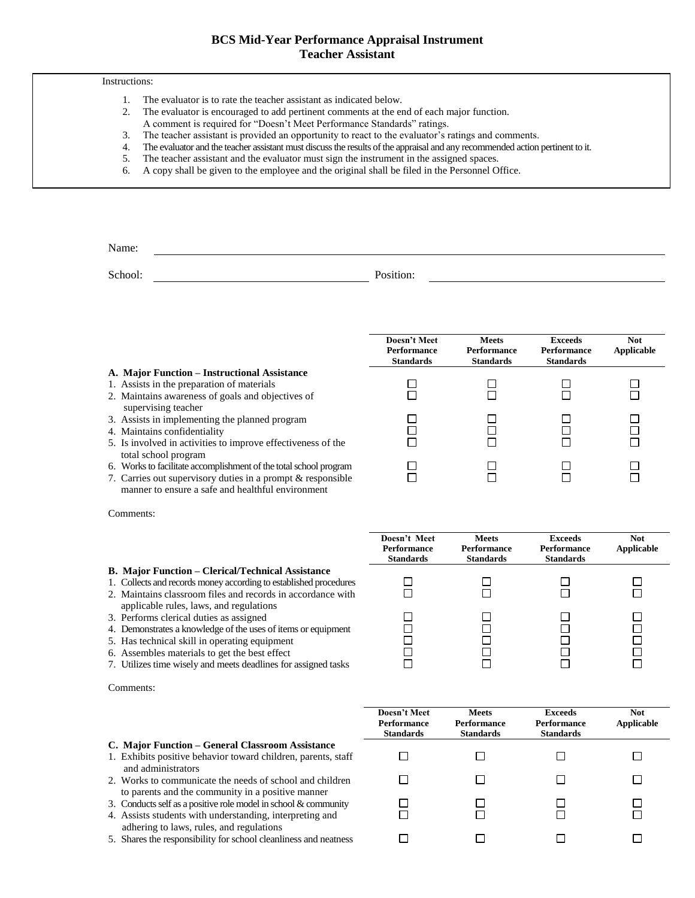# **BCS Mid-Year Performance Appraisal Instrument Teacher Assistant**

## Instructions:

- 1. The evaluator is to rate the teacher assistant as indicated below.
- 2. The evaluator is encouraged to add pertinent comments at the end of each major function.
- A comment is required for "Doesn't Meet Performance Standards" ratings.
- 3. The teacher assistant is provided an opportunity to react to the evaluator's ratings and comments.
- 4. The evaluator and the teacher assistant must discuss the results of the appraisal and any recommended action pertinent to it.
- 5. The teacher assistant and the evaluator must sign the instrument in the assigned spaces.
- 6. A copy shall be given to the employee and the original shall be filed in the Personnel Office.

Name:

School: Position:

**Doesn't Meet Performance Standards**

□

П

П

 $\Box$ 

П

 $\Box$ 

 $\Box$ 

## **A. Major Function – Instructional Assistance**

- 1. Assists in the preparation of materials
- 2. Maintains awareness of goals and objectives of supervising teacher
- 3. Assists in implementing the planned program
- 4. Maintains confidentiality
- 5. Is involved in activities to improve effectiveness of the total school program
- 6. Works to facilitate accomplishment of the total school program
- 7. Carries out supervisory duties in a prompt & responsible manner to ensure a safe and healthful environment

Comments:

### **B. Major Function – Clerical/Technical Assistance**

- 1. Collects and records money according to established procedures
- 2. Maintains classroom files and records in accordance with applicable rules, laws, and regulations
- 3. Performs clerical duties as assigned
- 4. Demonstrates a knowledge of the uses of items or equipment
- 5. Has technical skill in operating equipment
- 6. Assembles materials to get the best effect
- 7. Utilizes time wisely and meets deadlines for assigned tasks

Comments:

#### **C. Major Function – General Classroom Assistance**

- 1. Exhibits positive behavior toward children, parents, staff and administrators
- 2. Works to communicate the needs of school and children to parents and the community in a positive manner
- 3. Conducts self as a positive role model in school & community
- 4. Assists students with understanding, interpreting and adhering to laws, rules, and regulations
- 5. Shares the responsibility for school cleanliness and neatness

| Doesn't Meet<br><b>Performance</b><br><b>Standards</b> | <b>Meets</b><br><b>Performance</b><br><b>Standards</b> | <b>Exceeds</b><br><b>Performance</b><br><b>Standards</b> | <b>Not</b><br><b>Applicable</b> |  |
|--------------------------------------------------------|--------------------------------------------------------|----------------------------------------------------------|---------------------------------|--|
|                                                        |                                                        |                                                          |                                 |  |
|                                                        |                                                        |                                                          |                                 |  |

**Meets Performance Standards**

□

 $\Box$ 

□

 $\Box$ 

 $\Box$ 

 $\Box$ 

 $\Box$ 

**Exceeds Performance Standards**

□

 $\Box$ 

 $\Box$ 

 $\Box$ 

 $\Box$ 

 $\Box$ 

 $\Box$ 

**Not Applicable**

 $\Box$ 

 $\Box$ 

 $\Box$ 

□

П

 $\Box$ 

 $\Box$ 

| Doesn't Meet<br><b>Performance</b><br><b>Standards</b> | <b>Meets</b><br><b>Performance</b><br><b>Standards</b> | <b>Exceeds</b><br><b>Performance</b><br><b>Standards</b> | <b>Not</b><br><b>Applicable</b> |
|--------------------------------------------------------|--------------------------------------------------------|----------------------------------------------------------|---------------------------------|
|                                                        |                                                        |                                                          |                                 |
|                                                        |                                                        |                                                          |                                 |
|                                                        |                                                        |                                                          |                                 |
|                                                        |                                                        |                                                          |                                 |